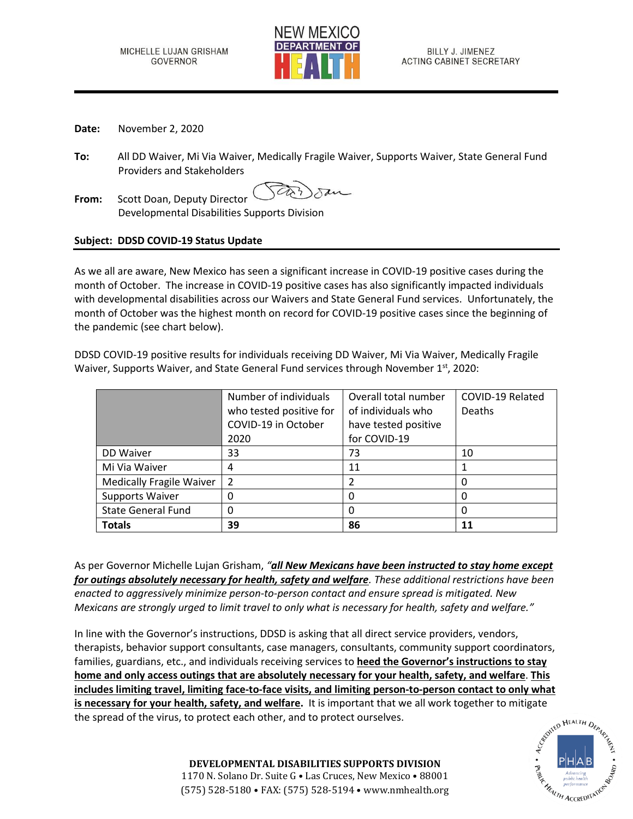

- **Date:** November 2, 2020
- **To:** All DD Waiver, Mi Via Waiver, Medically Fragile Waiver, Supports Waiver, State General Fund Providers and Stakeholders
- **From:** Scott Doan, Deputy Director Developmental Disabilities Supports Division

## **Subject: DDSD COVID-19 Status Update**

As we all are aware, New Mexico has seen a significant increase in COVID-19 positive cases during the month of October. The increase in COVID-19 positive cases has also significantly impacted individuals with developmental disabilities across our Waivers and State General Fund services. Unfortunately, the month of October was the highest month on record for COVID-19 positive cases since the beginning of the pandemic (see chart below).

DDSD COVID-19 positive results for individuals receiving DD Waiver, Mi Via Waiver, Medically Fragile Waiver, Supports Waiver, and State General Fund services through November 1<sup>st</sup>, 2020:

|                                 | Number of individuals   | Overall total number | COVID-19 Related |
|---------------------------------|-------------------------|----------------------|------------------|
|                                 | who tested positive for | of individuals who   | Deaths           |
|                                 | COVID-19 in October     | have tested positive |                  |
|                                 | 2020                    | for COVID-19         |                  |
| DD Waiver                       | 33                      | 73                   | 10               |
| Mi Via Waiver                   | 4                       | 11                   |                  |
| <b>Medically Fragile Waiver</b> | $\overline{2}$          | 2                    | 0                |
| <b>Supports Waiver</b>          |                         | 0                    | 0                |
| <b>State General Fund</b>       |                         | 0                    | 0                |
| <b>Totals</b>                   | 39                      | 86                   | 11               |

As per Governor Michelle Lujan Grisham, *"all New Mexicans have been instructed to stay home except for outings absolutely necessary for health, safety and welfare. These additional restrictions have been enacted to aggressively minimize person-to-person contact and ensure spread is mitigated. New Mexicans are strongly urged to limit travel to only what is necessary for health, safety and welfare."*

In line with the Governor's instructions, DDSD is asking that all direct service providers, vendors, therapists, behavior support consultants, case managers, consultants, community support coordinators, families, guardians, etc., and individuals receiving services to **heed the Governor's instructions to stay home and only access outings that are absolutely necessary for your health, safety, and welfare**. **This includes limiting travel, limiting face-to-face visits, and limiting person-to-person contact to only what is necessary for your health, safety, and welfare.** It is important that we all work together to mitigate the spread of the virus, to protect each other, and to protect ourselves.<br>
since the spread of the virus, to protec the spread of the virus, to protect each other, and to protect ourselves.